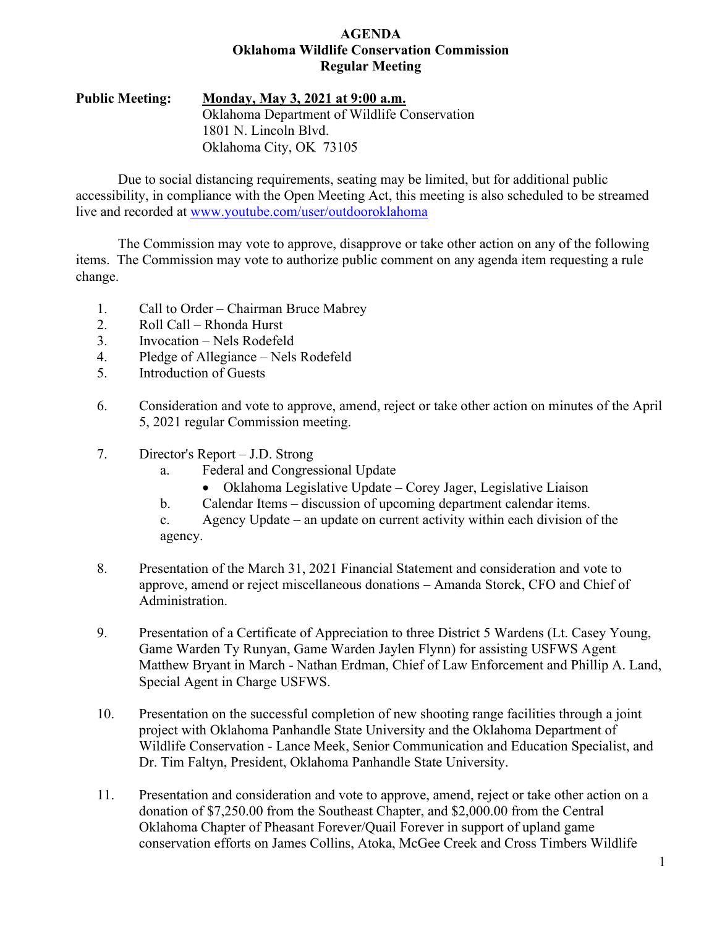### **AGENDA Oklahoma Wildlife Conservation Commission Regular Meeting**

### **Public Meeting: Monday, May 3, 2021 at 9:00 a.m.** Oklahoma Department of Wildlife Conservation 1801 N. Lincoln Blvd. Oklahoma City, OK 73105

Due to social distancing requirements, seating may be limited, but for additional public accessibility, in compliance with the Open Meeting Act, this meeting is also scheduled to be streamed live and recorded at [www.youtube.com/user/outdooroklahoma](http://www.youtube.com/user/outdooroklahoma)

The Commission may vote to approve, disapprove or take other action on any of the following items. The Commission may vote to authorize public comment on any agenda item requesting a rule change.

- 1. Call to Order Chairman Bruce Mabrey
- 2. Roll Call Rhonda Hurst
- 3. Invocation Nels Rodefeld
- 4. Pledge of Allegiance Nels Rodefeld
- 5. Introduction of Guests
- 6. Consideration and vote to approve, amend, reject or take other action on minutes of the April 5, 2021 regular Commission meeting.
- 7. Director's Report J.D. Strong
	- a. Federal and Congressional Update
		- Oklahoma Legislative Update Corey Jager, Legislative Liaison
	- b. Calendar Items discussion of upcoming department calendar items.
	- c. Agency Update an update on current activity within each division of the agency.
- 8. Presentation of the March 31, 2021 Financial Statement and consideration and vote to approve, amend or reject miscellaneous donations – Amanda Storck, CFO and Chief of Administration.
- 9. Presentation of a Certificate of Appreciation to three District 5 Wardens (Lt. Casey Young, Game Warden Ty Runyan, Game Warden Jaylen Flynn) for assisting USFWS Agent Matthew Bryant in March - Nathan Erdman, Chief of Law Enforcement and Phillip A. Land, Special Agent in Charge USFWS.
- 10. Presentation on the successful completion of new shooting range facilities through a joint project with Oklahoma Panhandle State University and the Oklahoma Department of Wildlife Conservation - Lance Meek, Senior Communication and Education Specialist, and Dr. Tim Faltyn, President, Oklahoma Panhandle State University.
- 11. Presentation and consideration and vote to approve, amend, reject or take other action on a donation of \$7,250.00 from the Southeast Chapter, and \$2,000.00 from the Central Oklahoma Chapter of Pheasant Forever/Quail Forever in support of upland game conservation efforts on James Collins, Atoka, McGee Creek and Cross Timbers Wildlife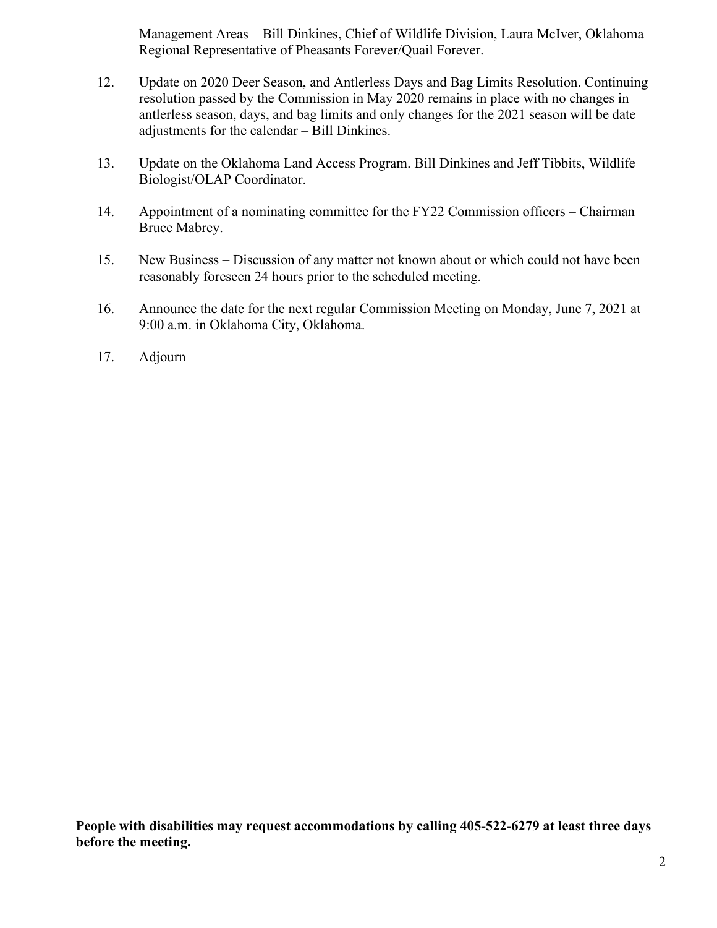Management Areas – Bill Dinkines, Chief of Wildlife Division, Laura McIver, Oklahoma Regional Representative of Pheasants Forever/Quail Forever.

- 12. Update on 2020 Deer Season, and Antlerless Days and Bag Limits Resolution. Continuing resolution passed by the Commission in May 2020 remains in place with no changes in antlerless season, days, and bag limits and only changes for the 2021 season will be date adjustments for the calendar – Bill Dinkines.
- 13. Update on the Oklahoma Land Access Program. Bill Dinkines and Jeff Tibbits, Wildlife Biologist/OLAP Coordinator.
- 14. Appointment of a nominating committee for the FY22 Commission officers Chairman Bruce Mabrey.
- 15. New Business Discussion of any matter not known about or which could not have been reasonably foreseen 24 hours prior to the scheduled meeting.
- 16. Announce the date for the next regular Commission Meeting on Monday, June 7, 2021 at 9:00 a.m. in Oklahoma City, Oklahoma.
- 17. Adjourn

**People with disabilities may request accommodations by calling 405-522-6279 at least three days before the meeting.**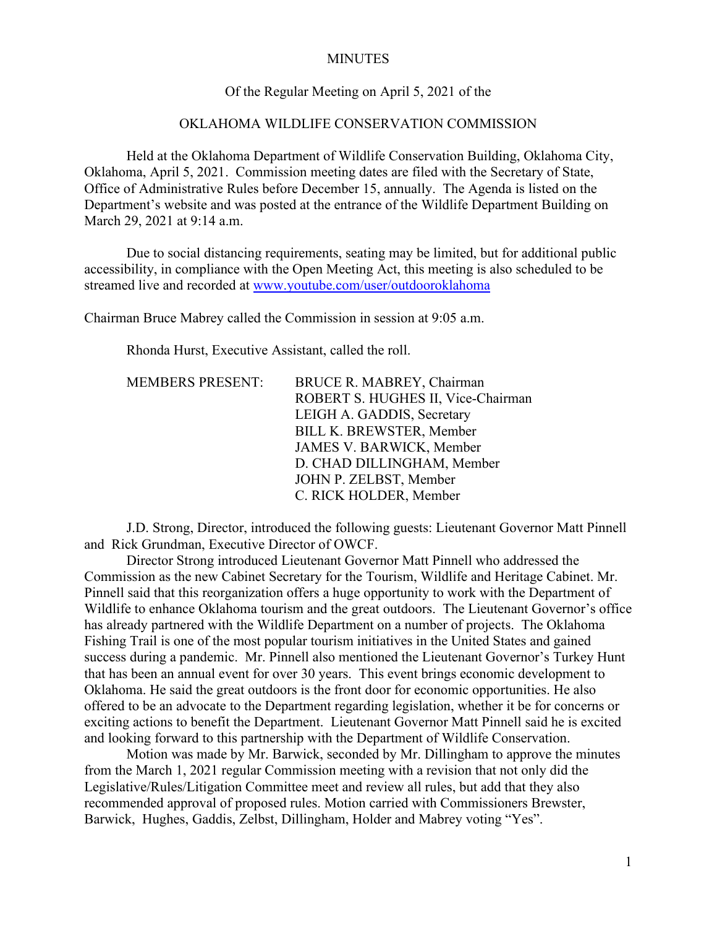#### **MINUTES**

### Of the Regular Meeting on April 5, 2021 of the

### OKLAHOMA WILDLIFE CONSERVATION COMMISSION

Held at the Oklahoma Department of Wildlife Conservation Building, Oklahoma City, Oklahoma, April 5, 2021. Commission meeting dates are filed with the Secretary of State, Office of Administrative Rules before December 15, annually. The Agenda is listed on the Department's website and was posted at the entrance of the Wildlife Department Building on March 29, 2021 at 9:14 a.m.

Due to social distancing requirements, seating may be limited, but for additional public accessibility, in compliance with the Open Meeting Act, this meeting is also scheduled to be streamed live and recorded at [www.youtube.com/user/outdooroklahoma](http://www.youtube.com/user/outdooroklahoma)

Chairman Bruce Mabrey called the Commission in session at 9:05 a.m.

Rhonda Hurst, Executive Assistant, called the roll.

| <b>MEMBERS PRESENT:</b> | BRUCE R. MABREY, Chairman          |
|-------------------------|------------------------------------|
|                         | ROBERT S. HUGHES II, Vice-Chairman |
|                         | LEIGH A. GADDIS, Secretary         |
|                         | <b>BILL K. BREWSTER, Member</b>    |
|                         | JAMES V. BARWICK, Member           |
|                         | D. CHAD DILLINGHAM, Member         |
|                         | JOHN P. ZELBST, Member             |
|                         | C. RICK HOLDER, Member             |
|                         |                                    |

J.D. Strong, Director, introduced the following guests: Lieutenant Governor Matt Pinnell and Rick Grundman, Executive Director of OWCF.

Director Strong introduced Lieutenant Governor Matt Pinnell who addressed the Commission as the new Cabinet Secretary for the Tourism, Wildlife and Heritage Cabinet. Mr. Pinnell said that this reorganization offers a huge opportunity to work with the Department of Wildlife to enhance Oklahoma tourism and the great outdoors. The Lieutenant Governor's office has already partnered with the Wildlife Department on a number of projects. The Oklahoma Fishing Trail is one of the most popular tourism initiatives in the United States and gained success during a pandemic. Mr. Pinnell also mentioned the Lieutenant Governor's Turkey Hunt that has been an annual event for over 30 years. This event brings economic development to Oklahoma. He said the great outdoors is the front door for economic opportunities. He also offered to be an advocate to the Department regarding legislation, whether it be for concerns or exciting actions to benefit the Department. Lieutenant Governor Matt Pinnell said he is excited and looking forward to this partnership with the Department of Wildlife Conservation.

Motion was made by Mr. Barwick, seconded by Mr. Dillingham to approve the minutes from the March 1, 2021 regular Commission meeting with a revision that not only did the Legislative/Rules/Litigation Committee meet and review all rules, but add that they also recommended approval of proposed rules. Motion carried with Commissioners Brewster, Barwick, Hughes, Gaddis, Zelbst, Dillingham, Holder and Mabrey voting "Yes".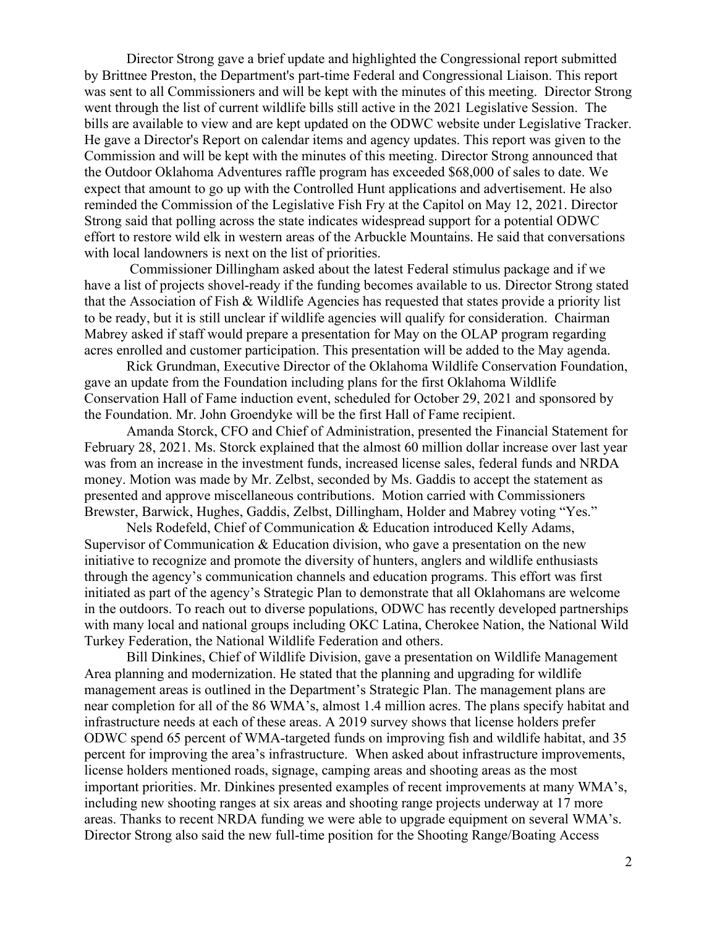Director Strong gave a brief update and highlighted the Congressional report submitted by Brittnee Preston, the Department's part-time Federal and Congressional Liaison. This report was sent to all Commissioners and will be kept with the minutes of this meeting. Director Strong went through the list of current wildlife bills still active in the 2021 Legislative Session. The bills are available to view and are kept updated on the ODWC website under Legislative Tracker. He gave a Director's Report on calendar items and agency updates. This report was given to the Commission and will be kept with the minutes of this meeting. Director Strong announced that the Outdoor Oklahoma Adventures raffle program has exceeded \$68,000 of sales to date. We expect that amount to go up with the Controlled Hunt applications and advertisement. He also reminded the Commission of the Legislative Fish Fry at the Capitol on May 12, 2021. Director Strong said that polling across the state indicates widespread support for a potential ODWC effort to restore wild elk in western areas of the Arbuckle Mountains. He said that conversations with local landowners is next on the list of priorities.

Commissioner Dillingham asked about the latest Federal stimulus package and if we have a list of projects shovel-ready if the funding becomes available to us. Director Strong stated that the Association of Fish & Wildlife Agencies has requested that states provide a priority list to be ready, but it is still unclear if wildlife agencies will qualify for consideration. Chairman Mabrey asked if staff would prepare a presentation for May on the OLAP program regarding acres enrolled and customer participation. This presentation will be added to the May agenda.

Rick Grundman, Executive Director of the Oklahoma Wildlife Conservation Foundation, gave an update from the Foundation including plans for the first Oklahoma Wildlife Conservation Hall of Fame induction event, scheduled for October 29, 2021 and sponsored by the Foundation. Mr. John Groendyke will be the first Hall of Fame recipient.

Amanda Storck, CFO and Chief of Administration, presented the Financial Statement for February 28, 2021. Ms. Storck explained that the almost 60 million dollar increase over last year was from an increase in the investment funds, increased license sales, federal funds and NRDA money. Motion was made by Mr. Zelbst, seconded by Ms. Gaddis to accept the statement as presented and approve miscellaneous contributions. Motion carried with Commissioners Brewster, Barwick, Hughes, Gaddis, Zelbst, Dillingham, Holder and Mabrey voting "Yes."

Nels Rodefeld, Chief of Communication & Education introduced Kelly Adams, Supervisor of Communication & Education division, who gave a presentation on the new initiative to recognize and promote the diversity of hunters, anglers and wildlife enthusiasts through the agency's communication channels and education programs. This effort was first initiated as part of the agency's Strategic Plan to demonstrate that all Oklahomans are welcome in the outdoors. To reach out to diverse populations, ODWC has recently developed partnerships with many local and national groups including OKC Latina, Cherokee Nation, the National Wild Turkey Federation, the National Wildlife Federation and others.

Bill Dinkines, Chief of Wildlife Division, gave a presentation on Wildlife Management Area planning and modernization. He stated that the planning and upgrading for wildlife management areas is outlined in the Department's Strategic Plan. The management plans are near completion for all of the 86 WMA's, almost 1.4 million acres. The plans specify habitat and infrastructure needs at each of these areas. A 2019 survey shows that license holders prefer ODWC spend 65 percent of WMA-targeted funds on improving fish and wildlife habitat, and 35 percent for improving the area's infrastructure. When asked about infrastructure improvements, license holders mentioned roads, signage, camping areas and shooting areas as the most important priorities. Mr. Dinkines presented examples of recent improvements at many WMA's, including new shooting ranges at six areas and shooting range projects underway at 17 more areas. Thanks to recent NRDA funding we were able to upgrade equipment on several WMA's. Director Strong also said the new full-time position for the Shooting Range/Boating Access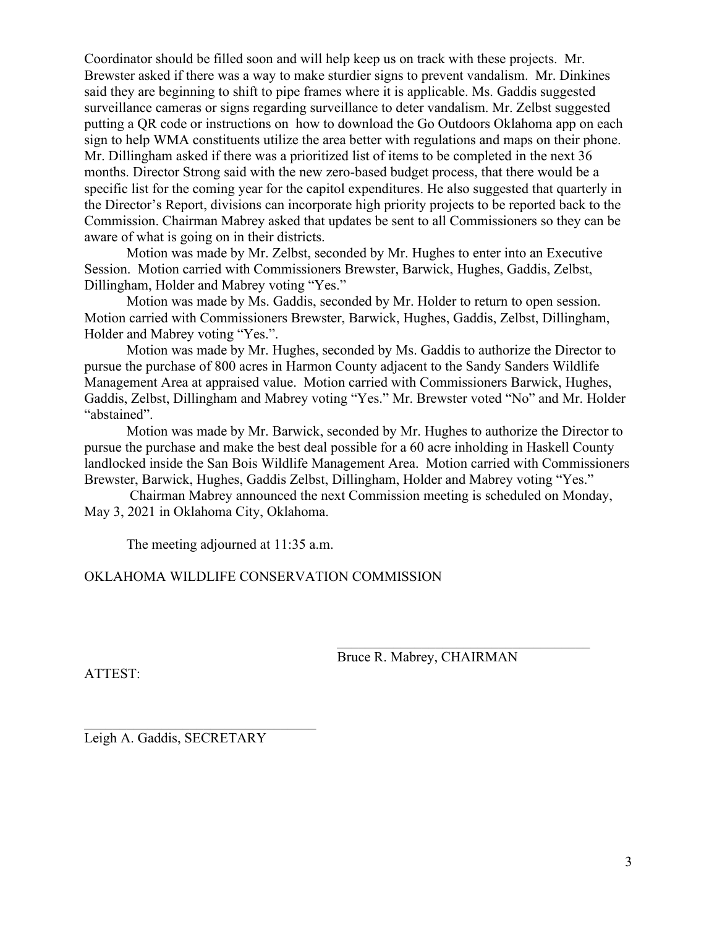Coordinator should be filled soon and will help keep us on track with these projects. Mr. Brewster asked if there was a way to make sturdier signs to prevent vandalism. Mr. Dinkines said they are beginning to shift to pipe frames where it is applicable. Ms. Gaddis suggested surveillance cameras or signs regarding surveillance to deter vandalism. Mr. Zelbst suggested putting a QR code or instructions on how to download the Go Outdoors Oklahoma app on each sign to help WMA constituents utilize the area better with regulations and maps on their phone. Mr. Dillingham asked if there was a prioritized list of items to be completed in the next 36 months. Director Strong said with the new zero-based budget process, that there would be a specific list for the coming year for the capitol expenditures. He also suggested that quarterly in the Director's Report, divisions can incorporate high priority projects to be reported back to the Commission. Chairman Mabrey asked that updates be sent to all Commissioners so they can be aware of what is going on in their districts.

Motion was made by Mr. Zelbst, seconded by Mr. Hughes to enter into an Executive Session. Motion carried with Commissioners Brewster, Barwick, Hughes, Gaddis, Zelbst, Dillingham, Holder and Mabrey voting "Yes."

Motion was made by Ms. Gaddis, seconded by Mr. Holder to return to open session. Motion carried with Commissioners Brewster, Barwick, Hughes, Gaddis, Zelbst, Dillingham, Holder and Mabrey voting "Yes.".

Motion was made by Mr. Hughes, seconded by Ms. Gaddis to authorize the Director to pursue the purchase of 800 acres in Harmon County adjacent to the Sandy Sanders Wildlife Management Area at appraised value. Motion carried with Commissioners Barwick, Hughes, Gaddis, Zelbst, Dillingham and Mabrey voting "Yes." Mr. Brewster voted "No" and Mr. Holder "abstained".

Motion was made by Mr. Barwick, seconded by Mr. Hughes to authorize the Director to pursue the purchase and make the best deal possible for a 60 acre inholding in Haskell County landlocked inside the San Bois Wildlife Management Area. Motion carried with Commissioners Brewster, Barwick, Hughes, Gaddis Zelbst, Dillingham, Holder and Mabrey voting "Yes."

Chairman Mabrey announced the next Commission meeting is scheduled on Monday, May 3, 2021 in Oklahoma City, Oklahoma.

The meeting adjourned at 11:35 a.m.

OKLAHOMA WILDLIFE CONSERVATION COMMISSION

Bruce R. Mabrey, CHAIRMAN

 $\mathcal{L}_\mathcal{L}$ 

ATTEST:

Leigh A. Gaddis, SECRETARY

 $\mathcal{L}_\mathcal{L}$  , where  $\mathcal{L}_\mathcal{L}$  , we are the set of the set of the set of the set of the set of the set of the set of the set of the set of the set of the set of the set of the set of the set of the set of the set o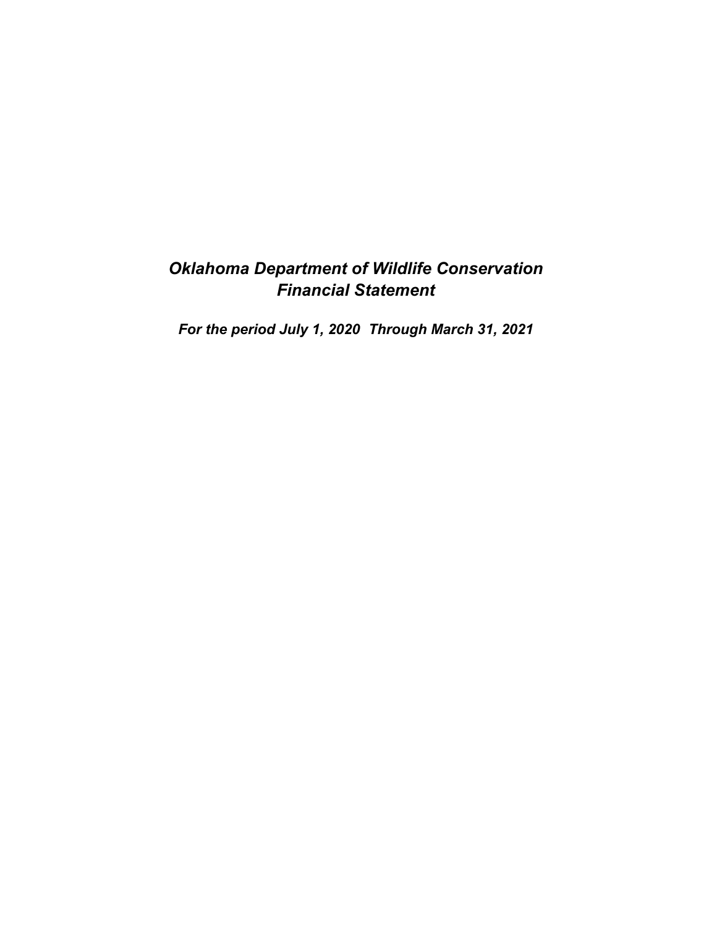# *Oklahoma Department of Wildlife Conservation Financial Statement*

*For the period July 1, 2020 Through March 31, 2021*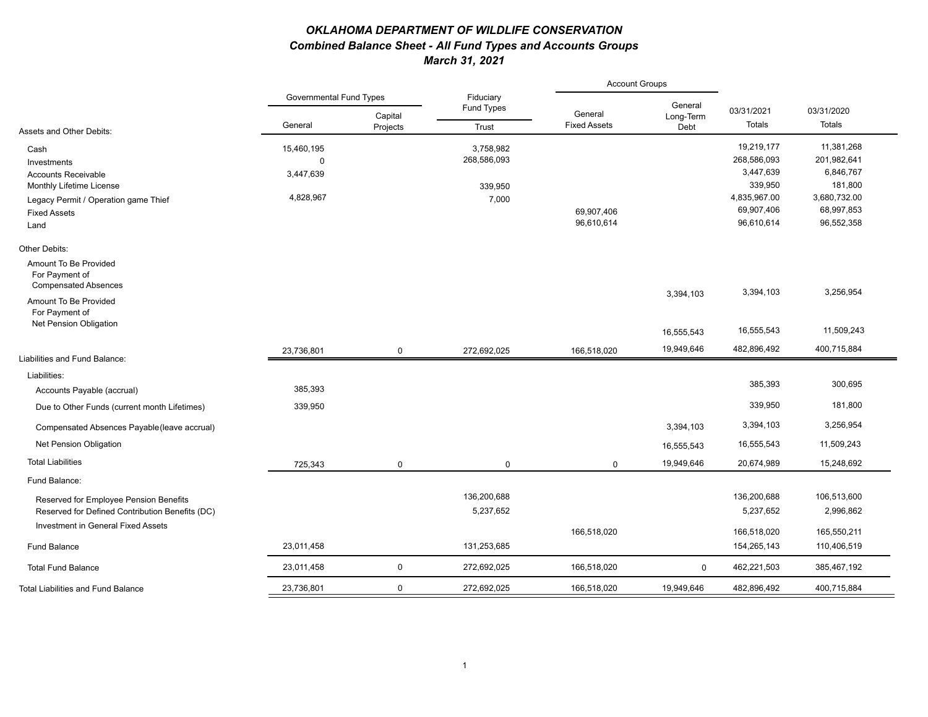### *OKLAHOMA DEPARTMENT OF WILDLIFE CONSERVATION Combined Balance Sheet - All Fund Types and Accounts Groups March 31, 2021*

|                                                                        |                                |                     |                         | <b>Account Groups</b>          |                   |              |              |  |
|------------------------------------------------------------------------|--------------------------------|---------------------|-------------------------|--------------------------------|-------------------|--------------|--------------|--|
|                                                                        | <b>Governmental Fund Types</b> |                     | Fiduciary<br>Fund Types |                                | General           | 03/31/2021   | 03/31/2020   |  |
| Assets and Other Debits:                                               | General                        | Capital<br>Projects | Trust                   | General<br><b>Fixed Assets</b> | Long-Term<br>Debt | Totals       | Totals       |  |
| Cash                                                                   | 15,460,195                     |                     | 3,758,982               |                                |                   | 19,219,177   | 11,381,268   |  |
| Investments                                                            | $\mathbf 0$                    |                     | 268,586,093             |                                |                   | 268,586,093  | 201,982,641  |  |
| <b>Accounts Receivable</b>                                             | 3,447,639                      |                     |                         |                                |                   | 3,447,639    | 6,846,767    |  |
| Monthly Lifetime License                                               |                                |                     | 339,950                 |                                |                   | 339,950      | 181,800      |  |
| Legacy Permit / Operation game Thief                                   | 4,828,967                      |                     | 7,000                   |                                |                   | 4,835,967.00 | 3,680,732.00 |  |
| <b>Fixed Assets</b>                                                    |                                |                     |                         | 69,907,406                     |                   | 69,907,406   | 68,997,853   |  |
| Land                                                                   |                                |                     |                         | 96,610,614                     |                   | 96,610,614   | 96,552,358   |  |
| Other Debits:                                                          |                                |                     |                         |                                |                   |              |              |  |
| Amount To Be Provided<br>For Payment of<br><b>Compensated Absences</b> |                                |                     |                         |                                |                   |              |              |  |
| Amount To Be Provided                                                  |                                |                     |                         |                                | 3,394,103         | 3,394,103    | 3,256,954    |  |
| For Payment of<br>Net Pension Obligation                               |                                |                     |                         |                                |                   |              |              |  |
|                                                                        |                                |                     |                         |                                | 16,555,543        | 16,555,543   | 11,509,243   |  |
| Liabilities and Fund Balance:                                          | 23,736,801                     | $\mathbf 0$         | 272,692,025             | 166,518,020                    | 19,949,646        | 482,896,492  | 400,715,884  |  |
| Liabilities:                                                           |                                |                     |                         |                                |                   |              |              |  |
| Accounts Payable (accrual)                                             | 385,393                        |                     |                         |                                |                   | 385,393      | 300,695      |  |
| Due to Other Funds (current month Lifetimes)                           | 339,950                        |                     |                         |                                |                   | 339,950      | 181,800      |  |
| Compensated Absences Payable (leave accrual)                           |                                |                     |                         |                                | 3,394,103         | 3,394,103    | 3,256,954    |  |
| Net Pension Obligation                                                 |                                |                     |                         |                                | 16,555,543        | 16,555,543   | 11,509,243   |  |
| <b>Total Liabilities</b>                                               | 725,343                        | $\mathbf 0$         | $\mathbf 0$             | $\mathbf 0$                    | 19,949,646        | 20,674,989   | 15,248,692   |  |
| Fund Balance:                                                          |                                |                     |                         |                                |                   |              |              |  |
| Reserved for Employee Pension Benefits                                 |                                |                     | 136,200,688             |                                |                   | 136,200,688  | 106,513,600  |  |
| Reserved for Defined Contribution Benefits (DC)                        |                                |                     | 5,237,652               |                                |                   | 5,237,652    | 2,996,862    |  |
| Investment in General Fixed Assets                                     |                                |                     |                         | 166,518,020                    |                   | 166,518,020  | 165,550,211  |  |
| <b>Fund Balance</b>                                                    | 23,011,458                     |                     | 131,253,685             |                                |                   | 154,265,143  | 110,406,519  |  |
| <b>Total Fund Balance</b>                                              | 23,011,458                     | $\mathsf{O}\xspace$ | 272,692,025             | 166,518,020                    | $\mathbf 0$       | 462,221,503  | 385,467,192  |  |
| <b>Total Liabilities and Fund Balance</b>                              | 23,736,801                     | $\mathbf 0$         | 272,692,025             | 166,518,020                    | 19,949,646        | 482,896,492  | 400,715,884  |  |
|                                                                        |                                |                     |                         |                                |                   |              |              |  |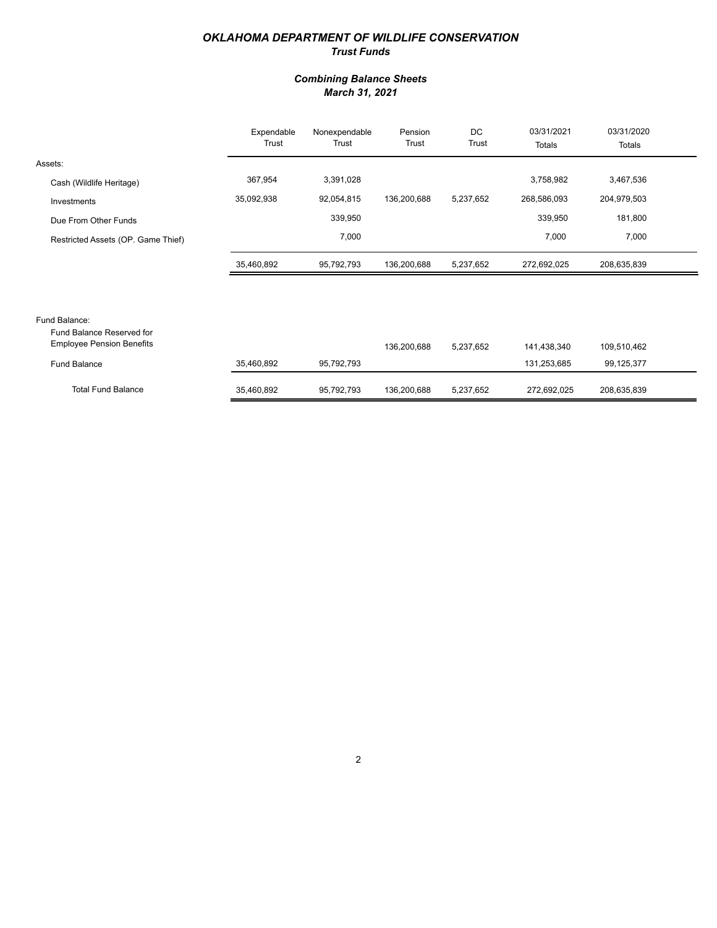#### *OKLAHOMA DEPARTMENT OF WILDLIFE CONSERVATION Trust Funds*

#### *Combining Balance Sheets March 31, 2021*

|                                                                                | Expendable<br>Trust | Nonexpendable<br>Trust | Pension<br>Trust | DC<br>Trust | 03/31/2021<br>Totals | 03/31/2020<br>Totals |  |
|--------------------------------------------------------------------------------|---------------------|------------------------|------------------|-------------|----------------------|----------------------|--|
| Assets:                                                                        |                     |                        |                  |             |                      |                      |  |
| Cash (Wildlife Heritage)                                                       | 367,954             | 3,391,028              |                  |             | 3,758,982            | 3,467,536            |  |
| Investments                                                                    | 35,092,938          | 92,054,815             | 136,200,688      | 5,237,652   | 268,586,093          | 204,979,503          |  |
| Due From Other Funds                                                           |                     | 339,950                |                  |             | 339,950              | 181,800              |  |
| Restricted Assets (OP. Game Thief)                                             |                     | 7,000                  |                  |             | 7,000                | 7,000                |  |
|                                                                                | 35,460,892          | 95,792,793             | 136,200,688      | 5,237,652   | 272,692,025          | 208,635,839          |  |
|                                                                                |                     |                        |                  |             |                      |                      |  |
|                                                                                |                     |                        |                  |             |                      |                      |  |
| Fund Balance:<br>Fund Balance Reserved for<br><b>Employee Pension Benefits</b> |                     |                        | 136,200,688      | 5,237,652   | 141,438,340          | 109,510,462          |  |

| <b>Fund Balance</b>       | 35,460,892 | 95.792.793 |             |           | 131,253,685 | 99.125.377  |
|---------------------------|------------|------------|-------------|-----------|-------------|-------------|
| <b>Total Fund Balance</b> | 35,460,892 | 95.792.793 | 136.200.688 | 5.237.652 | 272.692.025 | 208,635,839 |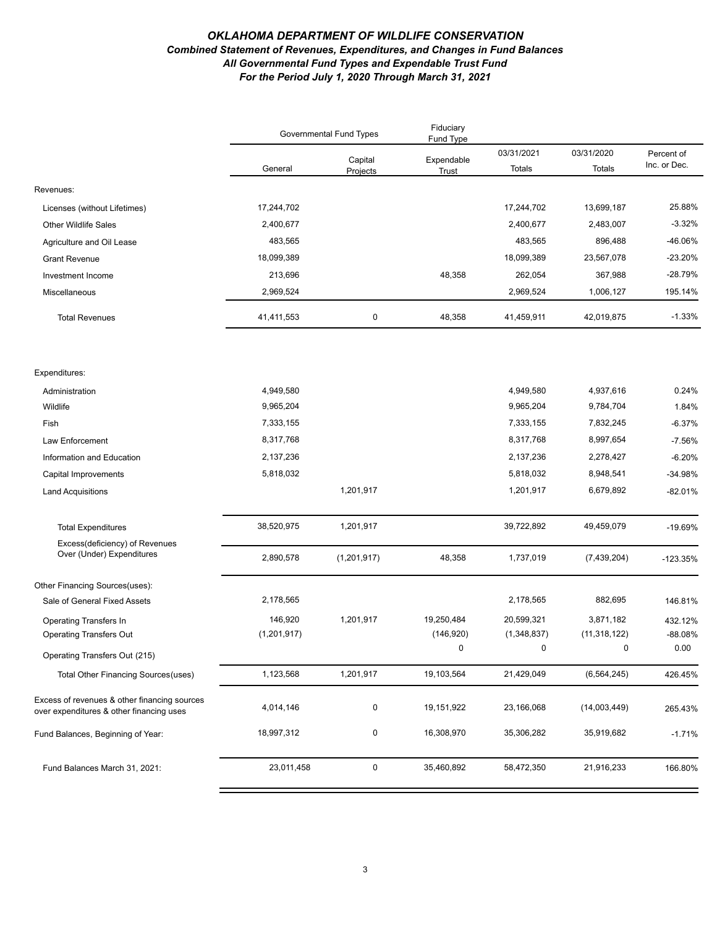#### *OKLAHOMA DEPARTMENT OF WILDLIFE CONSERVATION Combined Statement of Revenues, Expenditures, and Changes in Fund Balances All Governmental Fund Types and Expendable Trust Fund For the Period July 1, 2020 Through March 31, 2021*

|                                                                                          | <b>Governmental Fund Types</b> |                     | Fiduciary<br>Fund Type |                      |                      |                            |
|------------------------------------------------------------------------------------------|--------------------------------|---------------------|------------------------|----------------------|----------------------|----------------------------|
|                                                                                          | General                        | Capital<br>Projects | Expendable<br>Trust    | 03/31/2021<br>Totals | 03/31/2020<br>Totals | Percent of<br>Inc. or Dec. |
| Revenues:                                                                                |                                |                     |                        |                      |                      |                            |
| Licenses (without Lifetimes)                                                             | 17,244,702                     |                     |                        | 17,244,702           | 13,699,187           | 25.88%                     |
| <b>Other Wildlife Sales</b>                                                              | 2,400,677                      |                     |                        | 2,400,677            | 2,483,007            | $-3.32%$                   |
| Agriculture and Oil Lease                                                                | 483,565                        |                     |                        | 483,565              | 896,488              | -46.06%                    |
| <b>Grant Revenue</b>                                                                     | 18,099,389                     |                     |                        | 18,099,389           | 23,567,078           | $-23.20%$                  |
| Investment Income                                                                        | 213,696                        |                     | 48,358                 | 262,054              | 367,988              | $-28.79%$                  |
| Miscellaneous                                                                            | 2,969,524                      |                     |                        | 2,969,524            | 1,006,127            | 195.14%                    |
| <b>Total Revenues</b>                                                                    | 41,411,553                     | 0                   | 48,358                 | 41,459,911           | 42,019,875           | $-1.33%$                   |
| Expenditures:                                                                            |                                |                     |                        |                      |                      |                            |
| Administration                                                                           | 4,949,580                      |                     |                        | 4,949,580            | 4,937,616            | 0.24%                      |
| Wildlife                                                                                 | 9,965,204                      |                     |                        | 9,965,204            | 9,784,704            | 1.84%                      |
| Fish                                                                                     | 7,333,155                      |                     |                        | 7,333,155            | 7,832,245            | $-6.37%$                   |
| Law Enforcement                                                                          | 8,317,768                      |                     |                        | 8,317,768            | 8,997,654            | $-7.56%$                   |
| Information and Education                                                                | 2,137,236                      |                     |                        | 2,137,236            | 2,278,427            | $-6.20%$                   |
| Capital Improvements                                                                     | 5,818,032                      |                     |                        | 5,818,032            | 8,948,541            | -34.98%                    |
| <b>Land Acquisitions</b>                                                                 |                                | 1,201,917           |                        | 1,201,917            | 6,679,892            | $-82.01%$                  |
| <b>Total Expenditures</b>                                                                | 38,520,975                     | 1,201,917           |                        | 39,722,892           | 49,459,079           | -19.69%                    |
| Excess(deficiency) of Revenues                                                           |                                |                     |                        |                      |                      |                            |
| Over (Under) Expenditures                                                                | 2,890,578                      | (1,201,917)         | 48,358                 | 1,737,019            | (7, 439, 204)        | $-123.35%$                 |
| Other Financing Sources(uses):                                                           |                                |                     |                        |                      |                      |                            |
| Sale of General Fixed Assets                                                             | 2,178,565                      |                     |                        | 2,178,565            | 882,695              | 146.81%                    |
| <b>Operating Transfers In</b>                                                            | 146,920                        | 1,201,917           | 19,250,484             | 20,599,321           | 3,871,182            | 432.12%                    |
| <b>Operating Transfers Out</b>                                                           | (1,201,917)                    |                     | (146, 920)             | (1,348,837)          | (11, 318, 122)       | -88.08%                    |
| Operating Transfers Out (215)                                                            |                                |                     | $\Omega$               | $\Omega$             | $\Omega$             | 0.00                       |
| Total Other Financing Sources (uses)                                                     | 1,123,568                      | 1,201,917           | 19,103,564             | 21,429,049           | (6, 564, 245)        | 426.45%                    |
| Excess of revenues & other financing sources<br>over expenditures & other financing uses | 4,014,146                      | 0                   | 19,151,922             | 23,166,068           | (14,003,449)         | 265.43%                    |
| Fund Balances, Beginning of Year:                                                        | 18,997,312                     | 0                   | 16,308,970             | 35,306,282           | 35,919,682           | $-1.71%$                   |
| Fund Balances March 31, 2021:                                                            | 23,011,458                     | $\mathbf 0$         | 35,460,892             | 58,472,350           | 21,916,233           | 166.80%                    |
|                                                                                          |                                |                     |                        |                      |                      |                            |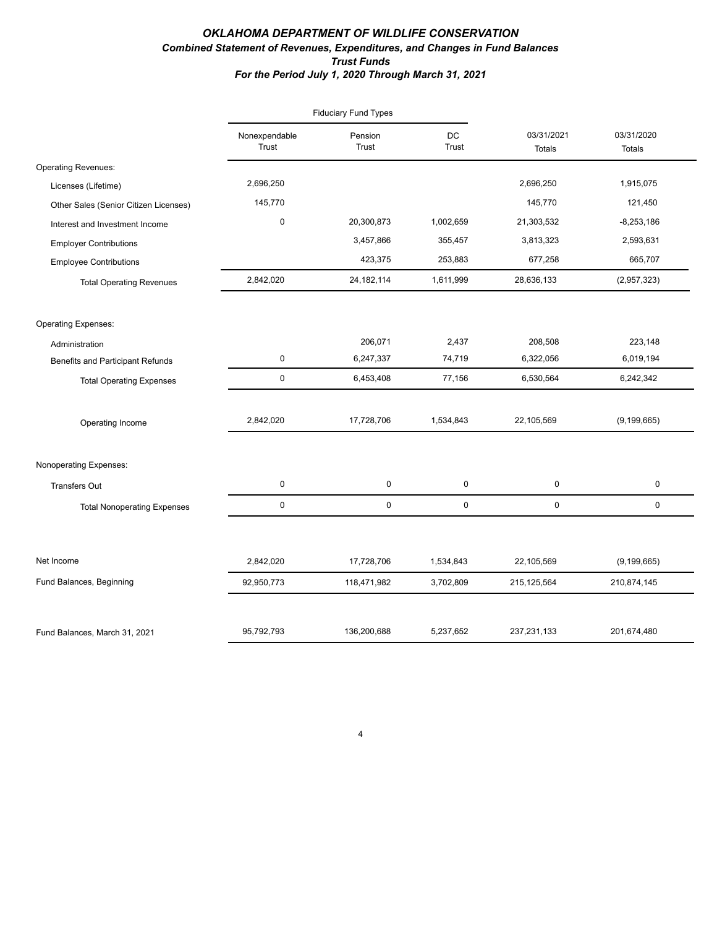#### *OKLAHOMA DEPARTMENT OF WILDLIFE CONSERVATION Combined Statement of Revenues, Expenditures, and Changes in Fund Balances Trust Funds For the Period July 1, 2020 Through March 31, 2021*

|                                         |                        | <b>Fiduciary Fund Types</b> |             |                      |                             |
|-----------------------------------------|------------------------|-----------------------------|-------------|----------------------|-----------------------------|
|                                         | Nonexpendable<br>Trust | Pension<br>Trust            | DC<br>Trust | 03/31/2021<br>Totals | 03/31/2020<br><b>Totals</b> |
| <b>Operating Revenues:</b>              |                        |                             |             |                      |                             |
| Licenses (Lifetime)                     | 2,696,250              |                             |             | 2,696,250            | 1,915,075                   |
| Other Sales (Senior Citizen Licenses)   | 145,770                |                             |             | 145,770              | 121,450                     |
| Interest and Investment Income          | $\mathsf 0$            | 20,300,873                  | 1,002,659   | 21,303,532           | $-8,253,186$                |
| <b>Employer Contributions</b>           |                        | 3,457,866                   | 355,457     | 3,813,323            | 2,593,631                   |
| <b>Employee Contributions</b>           |                        | 423,375                     | 253,883     | 677,258              | 665,707                     |
| <b>Total Operating Revenues</b>         | 2,842,020              | 24, 182, 114                | 1,611,999   | 28,636,133           | (2,957,323)                 |
| <b>Operating Expenses:</b>              |                        |                             |             |                      |                             |
| Administration                          |                        | 206,071                     | 2,437       | 208,508              | 223,148                     |
| <b>Benefits and Participant Refunds</b> | $\mathsf 0$            | 6,247,337                   | 74,719      | 6,322,056            | 6,019,194                   |
| <b>Total Operating Expenses</b>         | $\mathsf 0$            | 6,453,408                   | 77,156      | 6,530,564            | 6,242,342                   |
| Operating Income                        | 2,842,020              | 17,728,706                  | 1,534,843   | 22,105,569           | (9, 199, 665)               |
| Nonoperating Expenses:                  |                        |                             |             |                      |                             |
| <b>Transfers Out</b>                    | $\mathbf 0$            | 0                           | 0           | 0                    | 0                           |
| <b>Total Nonoperating Expenses</b>      | 0                      | 0                           | $\mathbf 0$ | 0                    | 0                           |
|                                         |                        |                             |             |                      |                             |
| Net Income                              | 2,842,020              | 17,728,706                  | 1,534,843   | 22,105,569           | (9, 199, 665)               |
| Fund Balances, Beginning                | 92,950,773             | 118,471,982                 | 3,702,809   | 215,125,564          | 210,874,145                 |
| Fund Balances, March 31, 2021           | 95,792,793             | 136,200,688                 | 5,237,652   | 237, 231, 133        | 201,674,480                 |

4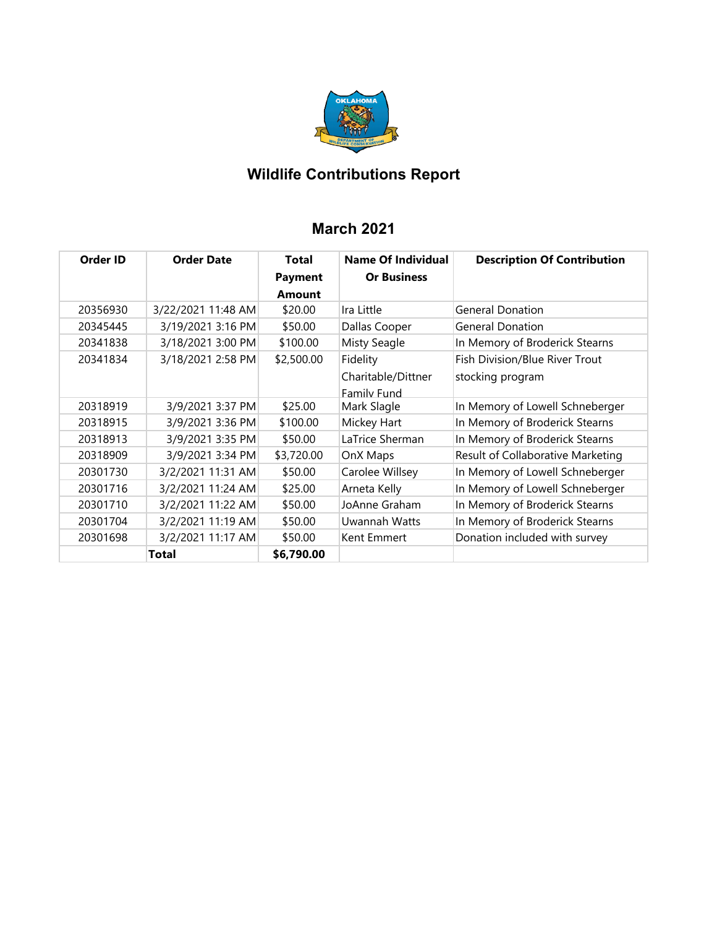

# **Wildlife Contributions Report**

## **March 2021**

| Order ID | <b>Order Date</b>  | Total<br><b>Payment</b> | Name Of Individual<br><b>Or Business</b> | <b>Description Of Contribution</b> |
|----------|--------------------|-------------------------|------------------------------------------|------------------------------------|
|          |                    | <b>Amount</b>           |                                          |                                    |
| 20356930 | 3/22/2021 11:48 AM | \$20.00                 | Ira Little                               | <b>General Donation</b>            |
| 20345445 | 3/19/2021 3:16 PM  | \$50.00                 | Dallas Cooper                            | <b>General Donation</b>            |
| 20341838 | 3/18/2021 3:00 PM  | \$100.00                | <b>Misty Seagle</b>                      | In Memory of Broderick Stearns     |
| 20341834 | 3/18/2021 2:58 PM  | \$2,500.00              | Fidelity                                 | Fish Division/Blue River Trout     |
|          |                    |                         | Charitable/Dittner                       | stocking program                   |
|          |                    |                         | Family Fund                              |                                    |
| 20318919 | 3/9/2021 3:37 PM   | \$25.00                 | Mark Slagle                              | In Memory of Lowell Schneberger    |
| 20318915 | 3/9/2021 3:36 PM   | \$100.00                | Mickey Hart                              | In Memory of Broderick Stearns     |
| 20318913 | 3/9/2021 3:35 PM   | \$50.00                 | LaTrice Sherman                          | In Memory of Broderick Stearns     |
| 20318909 | 3/9/2021 3:34 PM   | \$3,720.00              | OnX Maps                                 | Result of Collaborative Marketing  |
| 20301730 | 3/2/2021 11:31 AM  | \$50.00                 | Carolee Willsey                          | In Memory of Lowell Schneberger    |
| 20301716 | 3/2/2021 11:24 AM  | \$25.00                 | Arneta Kelly                             | In Memory of Lowell Schneberger    |
| 20301710 | 3/2/2021 11:22 AM  | \$50.00                 | JoAnne Graham                            | In Memory of Broderick Stearns     |
| 20301704 | 3/2/2021 11:19 AM  | \$50.00                 | Uwannah Watts                            | In Memory of Broderick Stearns     |
| 20301698 | 3/2/2021 11:17 AM  | \$50.00                 | Kent Emmert                              | Donation included with survey      |
|          | Total              | \$6,790.00              |                                          |                                    |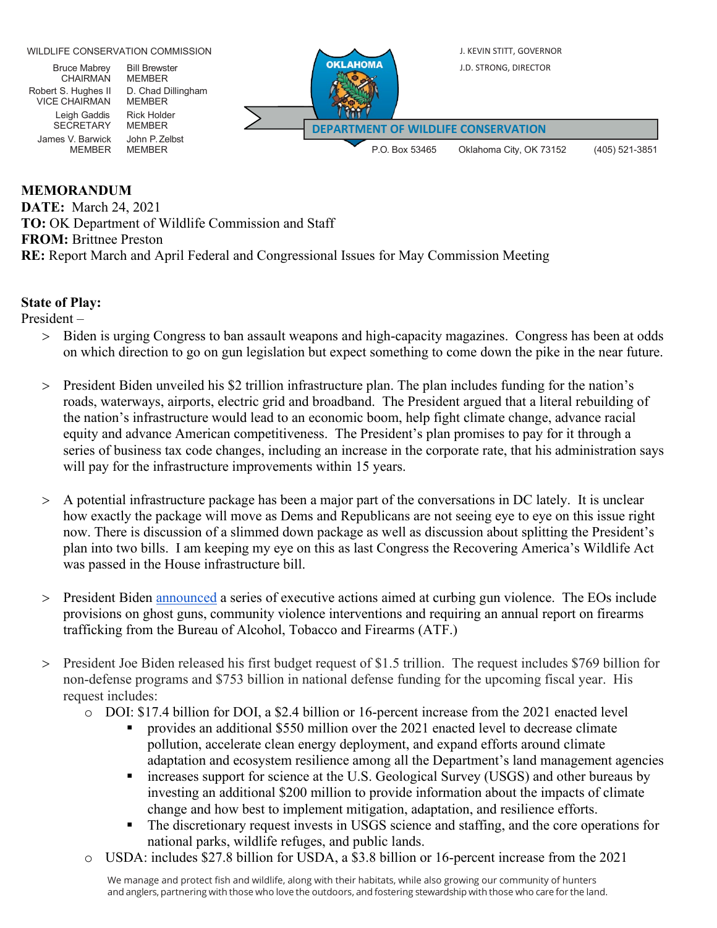

### **MEMORANDUM**

**DATE:** March 24, 2021 **TO:** OK Department of Wildlife Commission and Staff **FROM:** Brittnee Preston **RE:** Report March and April Federal and Congressional Issues for May Commission Meeting

### **State of Play:**

President –

- > Biden is urging Congress to ban assault weapons and high-capacity magazines. Congress has been at odds on which direction to go on gun legislation but expect something to come down the pike in the near future.
- > President Biden unveiled his \$2 trillion infrastructure plan. The plan includes funding for the nation's roads, waterways, airports, electric grid and broadband. The President argued that a literal rebuilding of the nation's infrastructure would lead to an economic boom, help fight climate change, advance racial equity and advance American competitiveness. The President's plan promises to pay for it through a series of business tax code changes, including an increase in the corporate rate, that his administration says will pay for the infrastructure improvements within 15 years.
- > A potential infrastructure package has been a major part of the conversations in DC lately. It is unclear how exactly the package will move as Dems and Republicans are not seeing eye to eye on this issue right now. There is discussion of a slimmed down package as well as discussion about splitting the President's plan into two bills. I am keeping my eye on this as last Congress the Recovering America's Wildlife Act was passed in the House infrastructure bill.
- > President Biden [announced](https://www.whitehouse.gov/briefing-room/statements-releases/2021/04/07/fact-sheet-biden-harris-administration-announces-initial-actions-to-address-the-gun-violence-public-health-epidemic/) a series of executive actions aimed at curbing gun violence. The EOs include provisions on ghost guns, community violence interventions and requiring an annual report on firearms trafficking from the Bureau of Alcohol, Tobacco and Firearms (ATF.)
- > President Joe Biden released his first budget request of \$1.5 trillion. The request includes \$769 billion for non-defense programs and \$753 billion in national defense funding for the upcoming fiscal year. His request includes:
	- o DOI: \$17.4 billion for DOI, a \$2.4 billion or 16-percent increase from the 2021 enacted level
		- provides an additional \$550 million over the 2021 enacted level to decrease climate pollution, accelerate clean energy deployment, and expand efforts around climate adaptation and ecosystem resilience among all the Department's land management agencies
		- **Example 1** increases support for science at the U.S. Geological Survey (USGS) and other bureaus by investing an additional \$200 million to provide information about the impacts of climate change and how best to implement mitigation, adaptation, and resilience efforts.
		- The discretionary request invests in USGS science and staffing, and the core operations for national parks, wildlife refuges, and public lands.
	- o USDA: includes \$27.8 billion for USDA, a \$3.8 billion or 16-percent increase from the 2021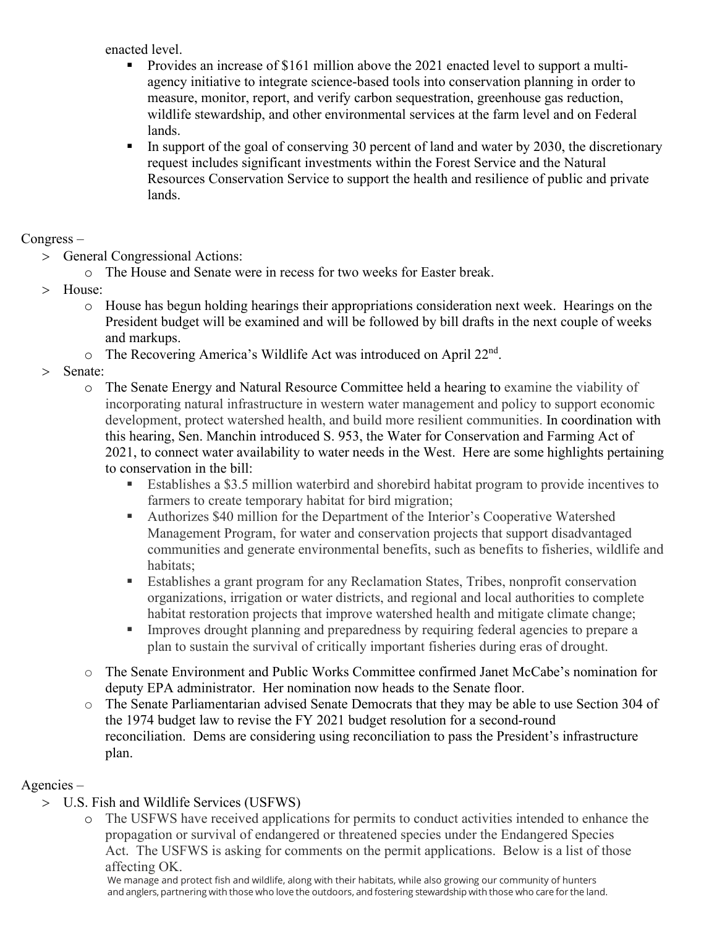enacted level.

- Provides an increase of \$161 million above the 2021 enacted level to support a multiagency initiative to integrate science-based tools into conservation planning in order to measure, monitor, report, and verify carbon sequestration, greenhouse gas reduction, wildlife stewardship, and other environmental services at the farm level and on Federal lands.
- In support of the goal of conserving 30 percent of land and water by 2030, the discretionary request includes significant investments within the Forest Service and the Natural Resources Conservation Service to support the health and resilience of public and private lands.

### Congress –

- > General Congressional Actions:
	- o The House and Senate were in recess for two weeks for Easter break.
- > House:
	- o House has begun holding hearings their appropriations consideration next week. Hearings on the President budget will be examined and will be followed by bill drafts in the next couple of weeks and markups.
	- $\circ$  The Recovering America's Wildlife Act was introduced on April 22<sup>nd</sup>.
- > Senate:
	- o The Senate Energy and Natural Resource Committee held a hearing to examine the viability of incorporating natural infrastructure in western water management and policy to support economic development, protect watershed health, and build more resilient communities. In coordination with this hearing, Sen. Manchin introduced S. 953, the Water for Conservation and Farming Act of 2021, to connect water availability to water needs in the West. Here are some highlights pertaining to conservation in the bill:
		- Establishes a \$3.5 million waterbird and shorebird habitat program to provide incentives to farmers to create temporary habitat for bird migration;
		- Authorizes \$40 million for the Department of the Interior's Cooperative Watershed Management Program, for water and conservation projects that support disadvantaged communities and generate environmental benefits, such as benefits to fisheries, wildlife and habitats;
		- Establishes a grant program for any Reclamation States, Tribes, nonprofit conservation organizations, irrigation or water districts, and regional and local authorities to complete habitat restoration projects that improve watershed health and mitigate climate change;
		- **IMPROVES** drought planning and preparedness by requiring federal agencies to prepare a plan to sustain the survival of critically important fisheries during eras of drought.
	- o The Senate Environment and Public Works Committee confirmed Janet McCabe's nomination for deputy EPA administrator. Her nomination now heads to the Senate floor.
	- o The Senate Parliamentarian advised Senate Democrats that they may be able to use Section 304 of the 1974 budget law to revise the FY 2021 budget resolution for a second-round reconciliation. Dems are considering using reconciliation to pass the President's infrastructure plan.

### Agencies –

- > U.S. Fish and Wildlife Services (USFWS)
	- o The USFWS have received applications for permits to conduct activities intended to enhance the propagation or survival of endangered or threatened species under the Endangered Species Act. The USFWS is asking for comments on the permit applications. Below is a list of those affecting OK.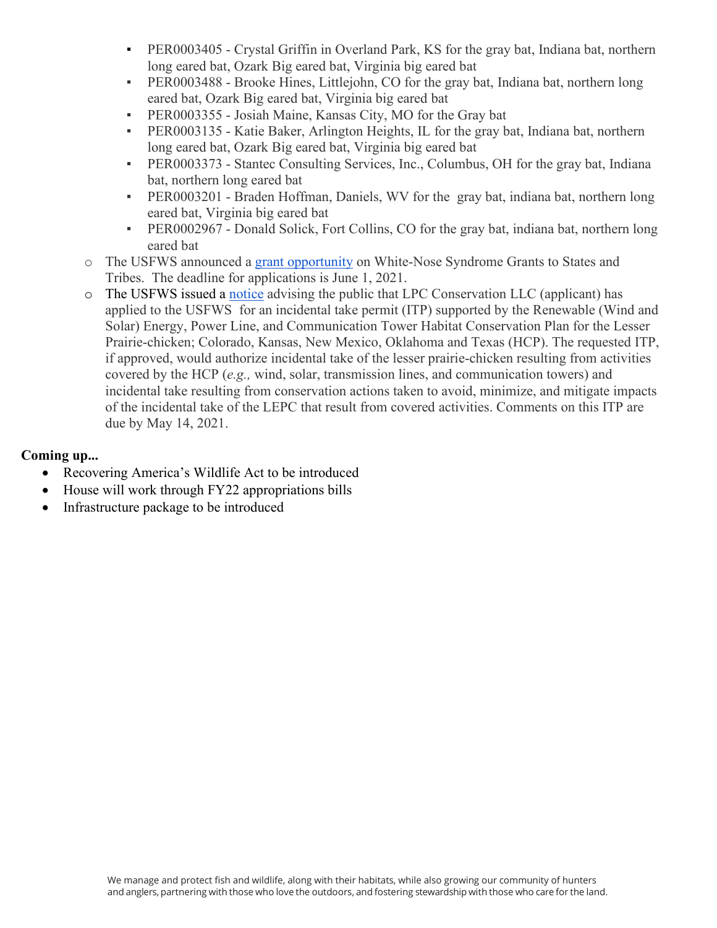- **PER0003405 Crystal Griffin in Overland Park, KS for the gray bat, Indiana bat, northern** long eared bat, Ozark Big eared bat, Virginia big eared bat
- PER0003488 Brooke Hines, Littlejohn, CO for the gray bat, Indiana bat, northern long eared bat, Ozark Big eared bat, Virginia big eared bat
- PER0003355 Josiah Maine, Kansas City, MO for the Gray bat
- **•** PER0003135 Katie Baker, Arlington Heights, IL for the gray bat, Indiana bat, northern long eared bat, Ozark Big eared bat, Virginia big eared bat
- PER0003373 Stantec Consulting Services, Inc., Columbus, OH for the gray bat, Indiana bat, northern long eared bat
- PER0003201 Braden Hoffman, Daniels, WV for the gray bat, indiana bat, northern long eared bat, Virginia big eared bat
- PER0002967 Donald Solick, Fort Collins, CO for the gray bat, indiana bat, northern long eared bat
- o The USFWS announced a [grant opportunity](https://www.grants.gov/web/grants/view-opportunity.html?oppId=332701) on White-Nose Syndrome Grants to States and Tribes. The deadline for applications is June 1, 2021.
- o The USFWS issued a [notice](https://www.federalregister.gov/documents/2021/04/14/2021-07475/application-for-an-incidental-take-permit-renewable-wind-and-solar-energy-power-line-and?utm_campaign=subscription%20mailing%20list&utm_source=federalregister.gov&utm_medium=email) advising the public that LPC Conservation LLC (applicant) has applied to the USFWS for an incidental take permit (ITP) supported by the Renewable (Wind and Solar) Energy, Power Line, and Communication Tower Habitat Conservation Plan for the Lesser Prairie-chicken; Colorado, Kansas, New Mexico, Oklahoma and Texas (HCP). The requested ITP, if approved, would authorize incidental take of the lesser prairie-chicken resulting from activities covered by the HCP (*e.g.,* wind, solar, transmission lines, and communication towers) and incidental take resulting from conservation actions taken to avoid, minimize, and mitigate impacts of the incidental take of the LEPC that result from covered activities. Comments on this ITP are due by May 14, 2021.

### **Coming up...**

- Recovering America's Wildlife Act to be introduced
- House will work through FY22 appropriations bills
- Infrastructure package to be introduced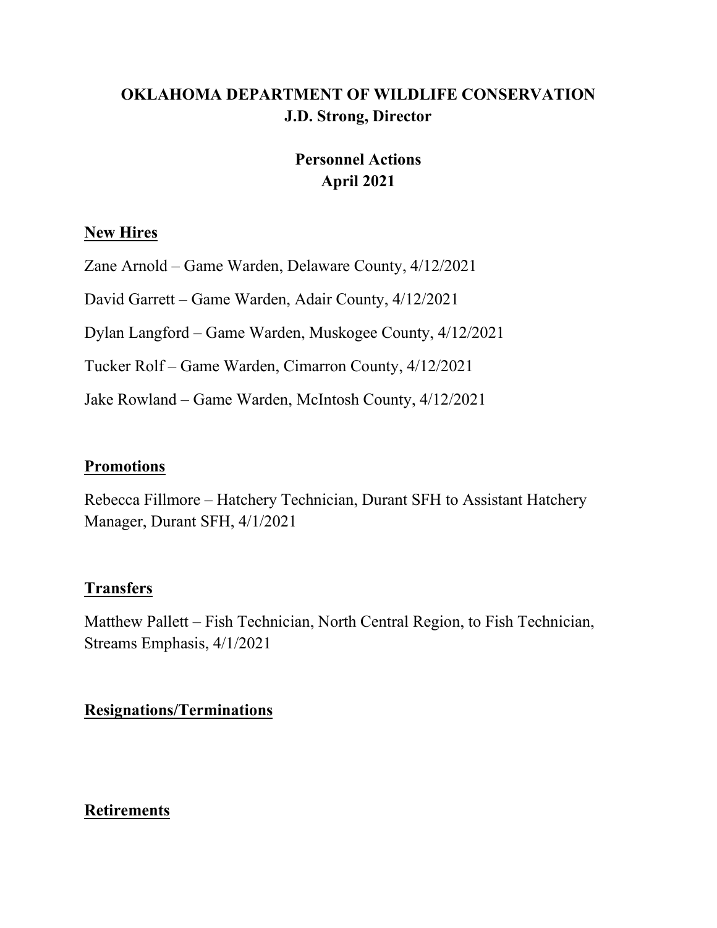# **OKLAHOMA DEPARTMENT OF WILDLIFE CONSERVATION J.D. Strong, Director**

## **Personnel Actions April 2021**

### **New Hires**

Zane Arnold – Game Warden, Delaware County, 4/12/2021

David Garrett – Game Warden, Adair County, 4/12/2021

Dylan Langford – Game Warden, Muskogee County, 4/12/2021

Tucker Rolf – Game Warden, Cimarron County, 4/12/2021

Jake Rowland – Game Warden, McIntosh County, 4/12/2021

### **Promotions**

Rebecca Fillmore – Hatchery Technician, Durant SFH to Assistant Hatchery Manager, Durant SFH, 4/1/2021

### **Transfers**

Matthew Pallett – Fish Technician, North Central Region, to Fish Technician, Streams Emphasis, 4/1/2021

**Resignations/Terminations**

### **Retirements**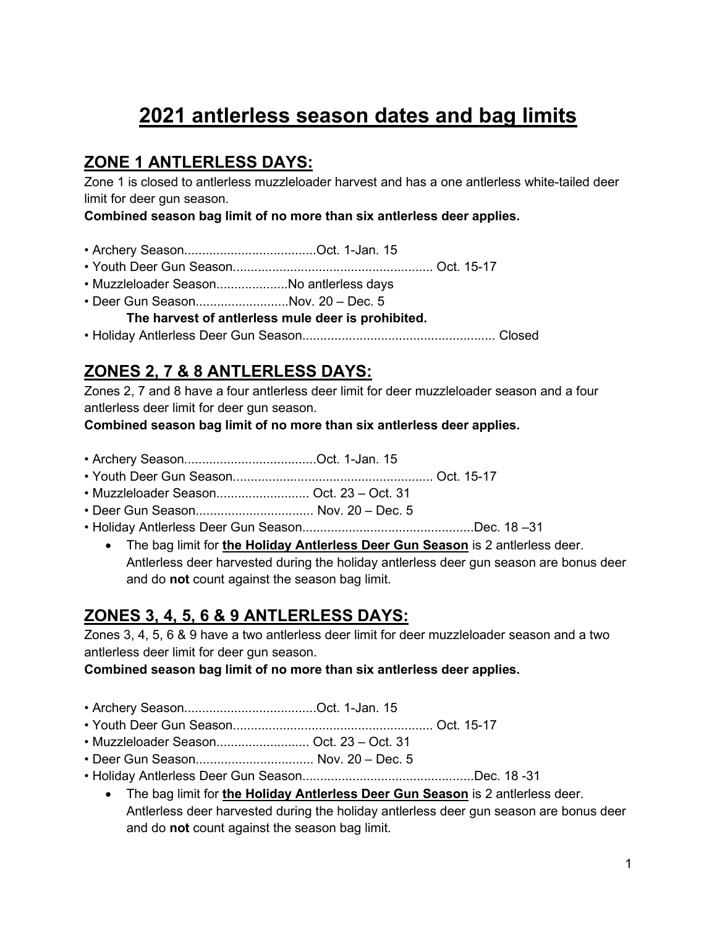# **2021 antlerless season dates and bag limits**

# **ZONE 1 ANTLERLESS DAYS:**

Zone 1 is closed to antlerless muzzleloader harvest and has a one antlerless white-tailed deer limit for deer gun season.

**Combined season bag limit of no more than six antlerless deer applies.**

- Archery Season.....................................Oct. 1-Jan. 15
- Youth Deer Gun Season........................................................ Oct. 15-17
- Muzzleloader Season....................No antlerless days
- Deer Gun Season..........................Nov. 20 Dec. 5

**The harvest of antlerless mule deer is prohibited.** 

• Holiday Antlerless Deer Gun Season...................................................... Closed

# **ZONES 2, 7 & 8 ANTLERLESS DAYS:**

Zones 2, 7 and 8 have a four antlerless deer limit for deer muzzleloader season and a four antlerless deer limit for deer gun season.

**Combined season bag limit of no more than six antlerless deer applies.**

- Archery Season.....................................Oct. 1-Jan. 15
- Youth Deer Gun Season........................................................ Oct. 15-17
- Muzzleloader Season.......................... Oct. 23 Oct. 31
- Deer Gun Season................................. Nov. 20 Dec. 5
- Holiday Antlerless Deer Gun Season................................................Dec. 18 –31
	- The bag limit for **the Holiday Antlerless Deer Gun Season** is 2 antlerless deer. Antlerless deer harvested during the holiday antlerless deer gun season are bonus deer and do **not** count against the season bag limit.

# **ZONES 3, 4, 5, 6 & 9 ANTLERLESS DAYS:**

Zones 3, 4, 5, 6 & 9 have a two antlerless deer limit for deer muzzleloader season and a two antlerless deer limit for deer gun season.

**Combined season bag limit of no more than six antlerless deer applies.**

- Archery Season.....................................Oct. 1-Jan. 15
- Youth Deer Gun Season........................................................ Oct. 15-17
- Muzzleloader Season.......................... Oct. 23 Oct. 31
- Deer Gun Season................................. Nov. 20 Dec. 5
- Holiday Antlerless Deer Gun Season................................................Dec. 18 -31
	- The bag limit for **the Holiday Antlerless Deer Gun Season** is 2 antlerless deer. Antlerless deer harvested during the holiday antlerless deer gun season are bonus deer and do **not** count against the season bag limit.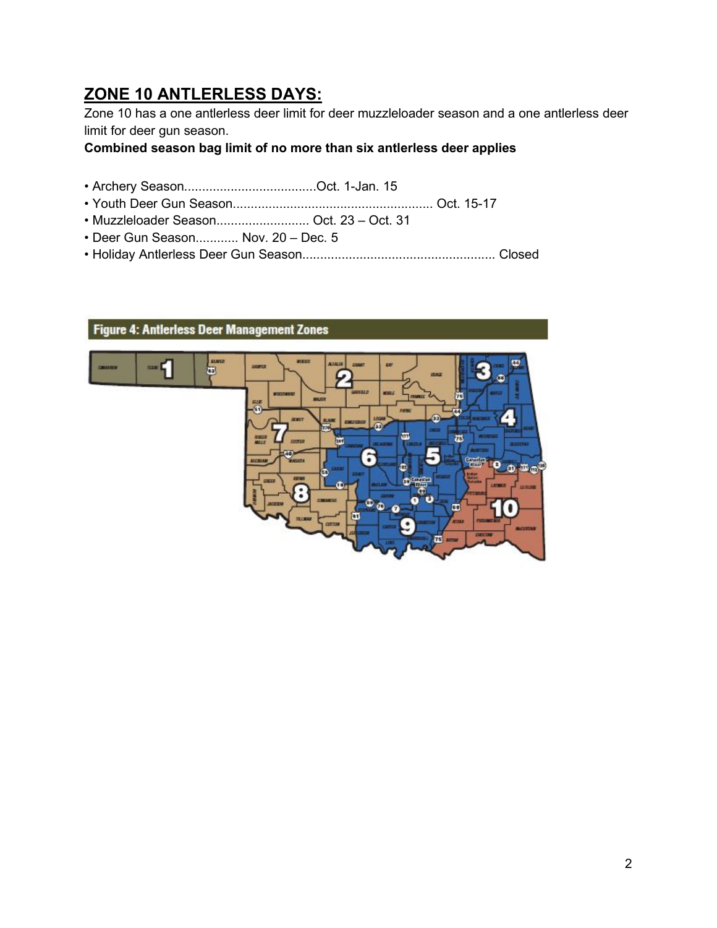# **ZONE 10 ANTLERLESS DAYS:**

Zone 10 has a one antlerless deer limit for deer muzzleloader season and a one antlerless deer limit for deer gun season.

**Combined season bag limit of no more than six antlerless deer applies**

- Archery Season.....................................Oct. 1-Jan. 15
- Youth Deer Gun Season........................................................ Oct. 15-17
- Muzzleloader Season.......................... Oct. 23 Oct. 31
- Deer Gun Season............ Nov. 20 Dec. 5
- Holiday Antlerless Deer Gun Season...................................................... Closed



2